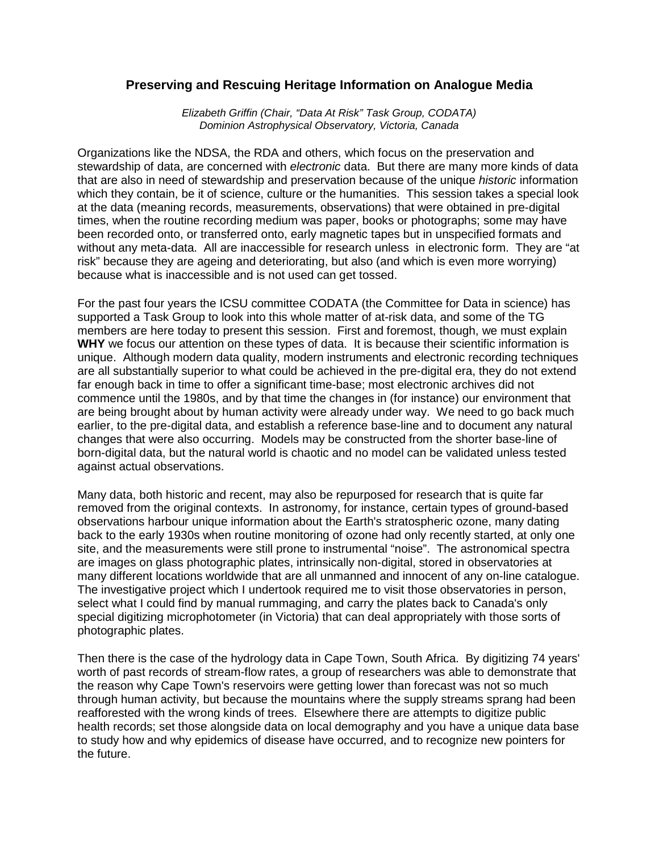## **Preserving and Rescuing Heritage Information on Analogue Media**

*Elizabeth Griffin (Chair, "Data At Risk" Task Group, CODATA) Dominion Astrophysical Observatory, Victoria, Canada*

Organizations like the NDSA, the RDA and others, which focus on the preservation and stewardship of data, are concerned with *electronic* data. But there are many more kinds of data that are also in need of stewardship and preservation because of the unique *historic* information which they contain, be it of science, culture or the humanities. This session takes a special look at the data (meaning records, measurements, observations) that were obtained in pre-digital times, when the routine recording medium was paper, books or photographs; some may have been recorded onto, or transferred onto, early magnetic tapes but in unspecified formats and without any meta-data. All are inaccessible for research unless in electronic form. They are "at risk" because they are ageing and deteriorating, but also (and which is even more worrying) because what is inaccessible and is not used can get tossed.

For the past four years the ICSU committee CODATA (the Committee for Data in science) has supported a Task Group to look into this whole matter of at-risk data, and some of the TG members are here today to present this session. First and foremost, though, we must explain **WHY** we focus our attention on these types of data. It is because their scientific information is unique. Although modern data quality, modern instruments and electronic recording techniques are all substantially superior to what could be achieved in the pre-digital era, they do not extend far enough back in time to offer a significant time-base; most electronic archives did not commence until the 1980s, and by that time the changes in (for instance) our environment that are being brought about by human activity were already under way. We need to go back much earlier, to the pre-digital data, and establish a reference base-line and to document any natural changes that were also occurring. Models may be constructed from the shorter base-line of born-digital data, but the natural world is chaotic and no model can be validated unless tested against actual observations.

Many data, both historic and recent, may also be repurposed for research that is quite far removed from the original contexts. In astronomy, for instance, certain types of ground-based observations harbour unique information about the Earth's stratospheric ozone, many dating back to the early 1930s when routine monitoring of ozone had only recently started, at only one site, and the measurements were still prone to instrumental "noise". The astronomical spectra are images on glass photographic plates, intrinsically non-digital, stored in observatories at many different locations worldwide that are all unmanned and innocent of any on-line catalogue. The investigative project which I undertook required me to visit those observatories in person, select what I could find by manual rummaging, and carry the plates back to Canada's only special digitizing microphotometer (in Victoria) that can deal appropriately with those sorts of photographic plates.

Then there is the case of the hydrology data in Cape Town, South Africa. By digitizing 74 years' worth of past records of stream-flow rates, a group of researchers was able to demonstrate that the reason why Cape Town's reservoirs were getting lower than forecast was not so much through human activity, but because the mountains where the supply streams sprang had been reafforested with the wrong kinds of trees. Elsewhere there are attempts to digitize public health records; set those alongside data on local demography and you have a unique data base to study how and why epidemics of disease have occurred, and to recognize new pointers for the future.